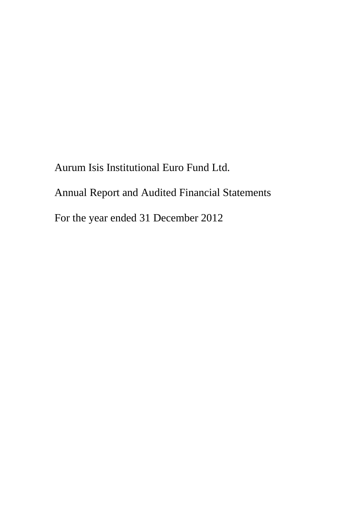Aurum Isis Institutional Euro Fund Ltd. Annual Report and Audited Financial Statements For the year ended 31 December 2012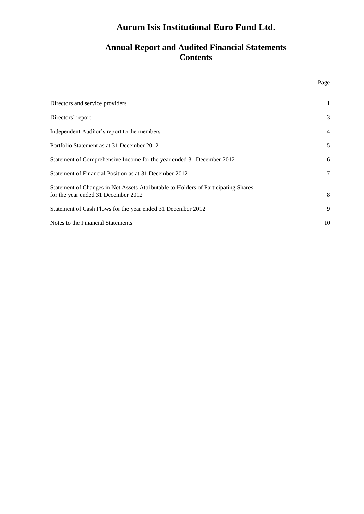# **Annual Report and Audited Financial Statements Contents**

| Directors and service providers                                                                                           |                |
|---------------------------------------------------------------------------------------------------------------------------|----------------|
| Directors' report                                                                                                         | 3              |
| Independent Auditor's report to the members                                                                               | $\overline{4}$ |
| Portfolio Statement as at 31 December 2012                                                                                | 5              |
| Statement of Comprehensive Income for the year ended 31 December 2012                                                     | 6              |
| Statement of Financial Position as at 31 December 2012                                                                    | 7              |
| Statement of Changes in Net Assets Attributable to Holders of Participating Shares<br>for the year ended 31 December 2012 | 8              |
| Statement of Cash Flows for the year ended 31 December 2012                                                               | 9              |
| Notes to the Financial Statements                                                                                         | 10             |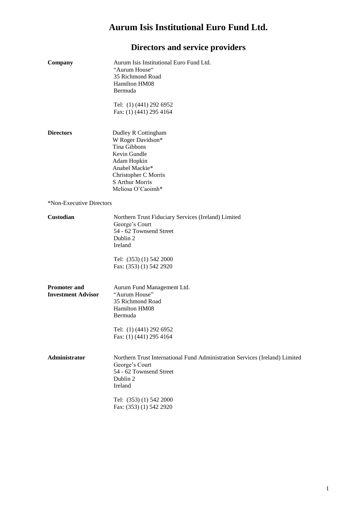# **Directors and service providers**

| Company                                          | Aurum Isis Institutional Euro Fund Ltd.<br>"Aurum House"<br>35 Richmond Road<br>Hamilton HM08<br>Bermuda<br>Tel: (1) (441) 292 6952<br>Fax: (1) (441) 295 4164                                        |
|--------------------------------------------------|-------------------------------------------------------------------------------------------------------------------------------------------------------------------------------------------------------|
| <b>Directors</b>                                 | Dudley R Cottingham<br>W Roger Davidson*<br>Tina Gibbons<br>Kevin Gundle<br>Adam Hopkin<br>Anabel Mackie*<br>Christopher C Morris<br>S Arthur Morris<br>Meliosa O'Caoimh*                             |
| *Non-Executive Directors                         |                                                                                                                                                                                                       |
| <b>Custodian</b>                                 | Northern Trust Fiduciary Services (Ireland) Limited<br>George's Court<br>54 - 62 Townsend Street<br>Dublin 2<br>Ireland<br>Tel: (353) (1) 542 2000<br>Fax: (353) (1) 542 2920                         |
| <b>Promoter and</b><br><b>Investment Advisor</b> | Aurum Fund Management Ltd.<br>"Aurum House"<br>35 Richmond Road<br>Hamilton HM08<br>Bermuda<br>Tel: (1) (441) 292 6952<br>Fax: (1) (441) 295 4164                                                     |
| Administrator                                    | Northern Trust International Fund Administration Services (Ireland) Limited<br>George's Court<br>54 - 62 Townsend Street<br>Dublin 2<br>Ireland<br>Tel: (353) (1) 542 2000<br>Fax: (353) (1) 542 2920 |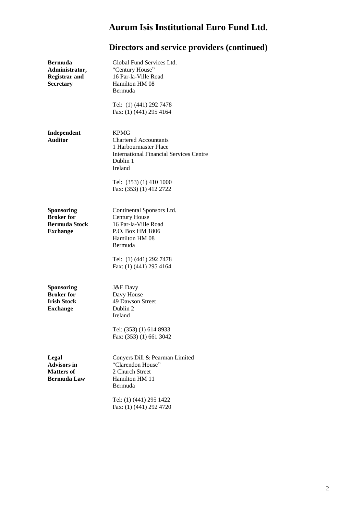| <b>Bermuda</b><br>Administrator,<br><b>Registrar and</b><br>Secretary             | Global Fund Services Ltd.<br>"Century House"<br>16 Par-la-Ville Road<br>Hamilton HM 08<br><b>Bermuda</b>                                      |
|-----------------------------------------------------------------------------------|-----------------------------------------------------------------------------------------------------------------------------------------------|
|                                                                                   | Tel: (1) (441) 292 7478<br>Fax: (1) (441) 295 4164                                                                                            |
| Independent<br><b>Auditor</b>                                                     | <b>KPMG</b><br><b>Chartered Accountants</b><br>1 Harbourmaster Place<br><b>International Financial Services Centre</b><br>Dublin 1<br>Ireland |
|                                                                                   | Tel: (353) (1) 410 1000<br>Fax: (353) (1) 412 2722                                                                                            |
| <b>Sponsoring</b><br><b>Broker</b> for<br><b>Bermuda Stock</b><br><b>Exchange</b> | Continental Sponsors Ltd.<br><b>Century House</b><br>16 Par-la-Ville Road<br>P.O. Box HM 1806<br>Hamilton HM 08<br>Bermuda                    |
|                                                                                   | Tel: (1) (441) 292 7478<br>Fax: (1) (441) 295 4164                                                                                            |
| <b>Sponsoring</b><br><b>Broker</b> for<br><b>Irish Stock</b><br><b>Exchange</b>   | <b>J&amp;E</b> Davy<br>Davy House<br>49 Dawson Street<br>Dublin 2<br>Ireland                                                                  |
|                                                                                   | Tel: (353) (1) 614 8933<br>Fax: (353) (1) 661 3042                                                                                            |
| Legal<br><b>Advisors in</b><br><b>Matters of</b><br><b>Bermuda Law</b>            | Conyers Dill & Pearman Limited<br>"Clarendon House"<br>2 Church Street<br>Hamilton HM 11<br>Bermuda                                           |
|                                                                                   | Tel: (1) (441) 295 1422<br>Fax: (1) (441) 292 4720                                                                                            |

# **Directors and service providers (continued)**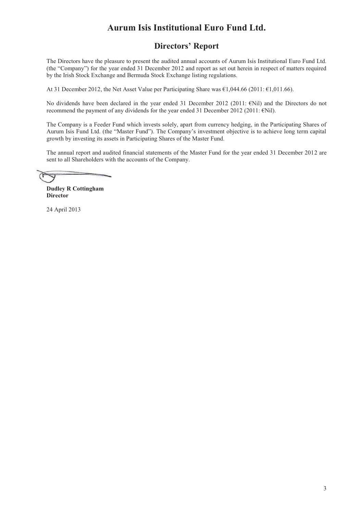### **Directors' Report**

The Directors have the pleasure to present the audited annual accounts of Aurum Isis Institutional Euro Fund Ltd. (the "Company") for the year ended 31 December 2012 and report as set out herein in respect of matters required by the Irish Stock Exchange and Bermuda Stock Exchange listing regulations.

At 31 December 2012, the Net Asset Value per Participating Share was €1,044.66 (2011: €1,011.66).

No dividends have been declared in the year ended 31 December 2012 (2011: €Nil) and the Directors do not recommend the payment of any dividends for the year ended 31 December 2012 (2011:  $\in$ Nil).

The Company is a Feeder Fund which invests solely, apart from currency hedging, in the Participating Shares of Aurum Isis Fund Ltd. (the "Master Fund"). The Company's investment objective is to achieve long term capital growth by investing its assets in Participating Shares of the Master Fund.

The annual report and audited financial statements of the Master Fund for the year ended 31 December 2012 are sent to all Shareholders with the accounts of the Company.

**Dudley R Cottingham Director** 

24 April 2013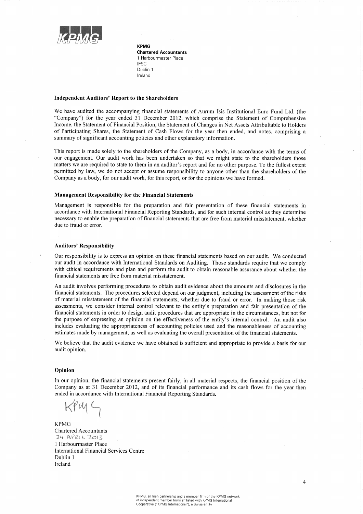

**KPMG** Chartered Accountants 1 Harbourmaster Place **IFSC** Dublin 1 Ireland

#### **Independent Auditors' Report to the Shareholders**

We have audited the accompanying financial statements of Aurum Isis Institutional Euro Fund Ltd. (the "Company") for the year ended 31 December 2012, which comprise the Statement of Comprehensive Income, the Statement of Financial Position, the Statement of Changes in Net Assets Attribultable to Holders of Participating Shares, the Statement of Cash Flows for the year then ended, and notes, comprising a summary of significant accounting policies and other explanatory information.

This report is made solely to the shareholders of the Company, as a body, in accordance with the terms of our engagement. Our audit work has been undertaken so that we might state to the shareholders those matters we are required to state to them in an auditor's report and for no other purpose. To the fullest extent permitted by law, we do not accept or assume responsibility to anyone other than the shareholders of the Company as a body, for our audit work, for this report, or for the opinions we have formed.

#### **Management Responsibility for the Financial Statements**

Management is responsible for the preparation and fair presentation of these financial statements in accordance with International Financial Reporting Standards, and for such internal control as they determine necessary to enable the preparation of financial statements that are free from material misstatement, whether due to fraud or error.

#### **Auditors' Responsibility**

Our responsibility is to express an opinion on these financial statements based on our audit. We conducted our audit in accordance with International Standards on Auditing. Those standards require that we comply with ethical requirements and plan and perform the audit to obtain reasonable assurance about whether the financial statements are free from material misstatement.

An audit involves performing procedures to obtain audit evidence about the amounts and disclosures in the financial statements. The procedures selected depend on our judgment, including the assessment of the risks of material misstatement of the financial statements, whether due to fraud or error. In making those risk assessments, we consider internal control relevant to the entity's preparation and fair presentation of the financial statements in order to design audit procedures that are appropriate in the circumstances, but not for the purpose of expressing an opinion on the effectiveness of the entity's internal control. An audit also includes evaluating the appropriateness of accounting policies used and the reasonableness of accounting estimates made by management, as well as evaluating the overall presentation of the financial statements.

We believe that the audit evidence we have obtained is sufficient and appropriate to provide a basis for our audit opinion.

#### Opinion

In our opinion, the financial statements present fairly, in all material respects, the financial position of the Company as at 31 December 2012, and of its financial performance and its cash flows for the year then ended in accordance with International Financial Reporting Standards.

KPMC

**KPMG Chartered Accountants** 24 APRIL 2013 1 Harbourmaster Place **International Financial Services Centre** Dublin 1 Ireland

> KPMG, an Irish partnership and a member firm of the KPMG network of independent member firms affiliated with KPMG International contents affiliated with KPMG International contents.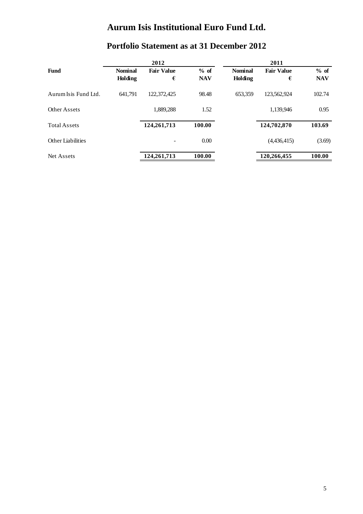| <b>Portfolio Statement as at 31 December 2012</b> |                |                   |            |                |                   |            |
|---------------------------------------------------|----------------|-------------------|------------|----------------|-------------------|------------|
|                                                   |                | 2012              |            |                | 2011              |            |
| <b>Fund</b>                                       | <b>Nominal</b> | <b>Fair Value</b> | $%$ of     | <b>Nominal</b> | <b>Fair Value</b> | $%$ of     |
|                                                   | Holding        | €                 | <b>NAV</b> | Holding        | €                 | <b>NAV</b> |
| Aurum Isis Fund Ltd.                              | 641.791        | 122,372,425       | 98.48      | 653,359        | 123,562,924       | 102.74     |
| Other Assets                                      |                | 1,889,288         | 1.52       |                | 1,139,946         | 0.95       |
| <b>Total Assets</b>                               |                | 124,261,713       | 100.00     |                | 124,702,870       | 103.69     |
| Other Liabilities                                 |                |                   | 0.00       |                | (4,436,415)       | (3.69)     |
| Net Assets                                        |                | 124.261.713       | 100.00     |                | 120,266,455       | 100.00     |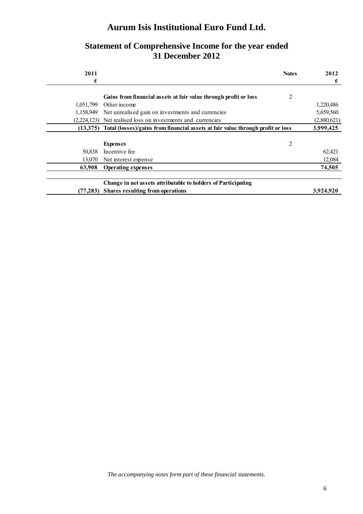### **Statement of Comprehensive Income for the year ended 31 December 2012**

| 2011        |                                                                                 | <b>Notes</b> | 2012        |
|-------------|---------------------------------------------------------------------------------|--------------|-------------|
| €           |                                                                                 |              | €           |
|             |                                                                                 |              |             |
|             | Gains from financial assets at fair value through profit or loss                | 2            |             |
| 1,051,799   | Other income                                                                    |              | 1,220,486   |
| 1,158,949   | Net unrealised gain on investments and currencies                               |              | 5,659,560   |
| (2,224,123) | Net realised loss on investments and currencies                                 |              | (2,880,621) |
| (13,375)    | Total (losses)/gains from financial assets at fair value through profit or loss |              | 3,999,425   |
|             |                                                                                 |              |             |
|             | <b>Expenses</b>                                                                 | 2            |             |
| 50.838      | Incentive fee                                                                   |              | 62,421      |
| 13,070      | Net interest expense                                                            |              | 12,084      |
| 63,908      | <b>Operating expenses</b>                                                       |              | 74,505      |
|             |                                                                                 |              |             |
|             | Change in net assets attributable to holders of Participating                   |              |             |
| (77, 283)   | <b>Shares resulting from operations</b>                                         |              | 3,924,920   |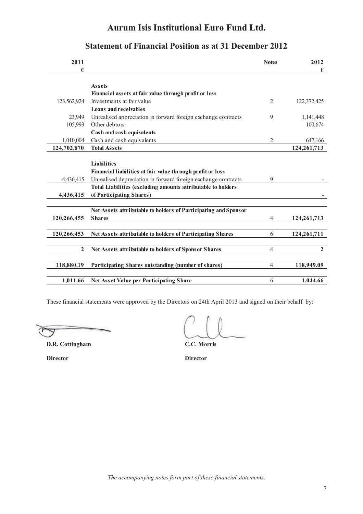| 2011           |                                                                 | <b>Notes</b>   | 2012           |
|----------------|-----------------------------------------------------------------|----------------|----------------|
| €              |                                                                 |                | €              |
|                | <b>Assets</b>                                                   |                |                |
|                | Financial assets at fair value through profit or loss           |                |                |
| 123,562,924    | Investments at fair value                                       | $\overline{2}$ | 122,372,425    |
|                | <b>Loans and receivables</b>                                    |                |                |
| 23,949         | Unrealised appreciation in forward foreign exchange contracts   | 9              | 1,141,448      |
| 105,993        | Other debtors                                                   |                | 100,674        |
|                | Cash and cash equivalents                                       |                |                |
| 1,010,004      | Cash and cash equivalents                                       | 2              | 647,166        |
| 124,702,870    | <b>Total Assets</b>                                             |                | 124,261,713    |
|                |                                                                 |                |                |
|                | <b>Liabilities</b>                                              |                |                |
|                | Financial liabilities at fair value through profit or loss      |                |                |
| 4,436,415      | Unrealised depreciation in forward foreign exchange contracts   | 9              |                |
|                | Total Liabilities (excluding amounts attributable to holders    |                |                |
| 4,436,415      | of Participating Shares)                                        |                |                |
|                |                                                                 |                |                |
|                | Net Assets attributable to holders of Participating and Sponsor |                |                |
| 120,266,455    | <b>Shares</b>                                                   | $\overline{4}$ | 124,261,713    |
|                |                                                                 |                |                |
| 120,266,453    | Net Assets attributable to holders of Participating Shares      | 6              | 124,261,711    |
|                |                                                                 |                |                |
| $\overline{2}$ | Net Assets attributable to holders of Sponsor Shares            | 4              | $\overline{2}$ |
| 118,880.19     | Participating Shares outstanding (number of shares)             | $\overline{4}$ | 118,949.09     |
|                |                                                                 |                |                |
| 1,011.66       | <b>Net Asset Value per Participating Share</b>                  | 6              | 1,044.66       |

# **Statement of Financial Position as at 31 December 2012**

These financial statements were approved by the Directors on 24th April 2013 and signed on their behalf by:

C.C. Morris

D.R. Cottingham

**Director** 

**Director**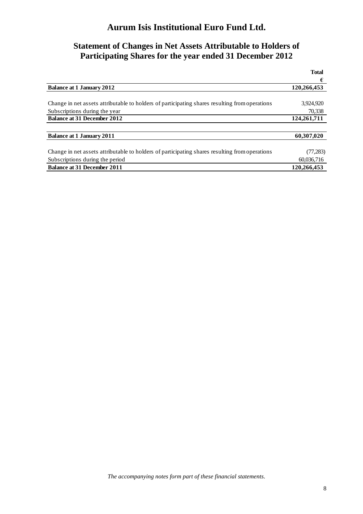# **Statement of Changes in Net Assets Attributable to Holders of Participating Shares for the year ended 31 December 2012**

|                                                                                                | <b>Total</b> |
|------------------------------------------------------------------------------------------------|--------------|
|                                                                                                | €            |
| <b>Balance at 1 January 2012</b>                                                               | 120,266,453  |
|                                                                                                |              |
| Change in net assets attributable to holders of participating shares resulting from operations | 3,924,920    |
| Subscriptions during the year                                                                  | 70,338       |
| <b>Balance at 31 December 2012</b>                                                             | 124,261,711  |
|                                                                                                |              |
| <b>Balance at 1 January 2011</b>                                                               | 60,307,020   |
|                                                                                                |              |
| Change in net assets attributable to holders of participating shares resulting from operations | (77, 283)    |
| Subscriptions during the period                                                                | 60,036,716   |
| <b>Balance at 31 December 2011</b>                                                             | 120.266.453  |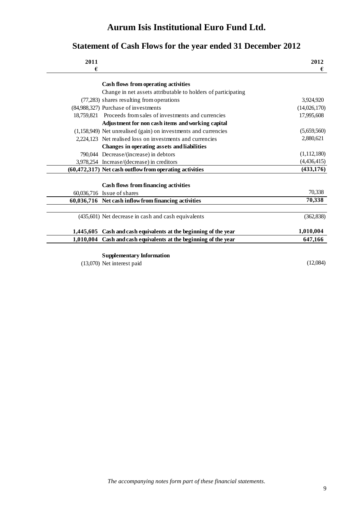# **Statement of Cash Flows for the year ended 31 December 2012**

| 2011<br>€ |                                                                     | 2012<br>€    |
|-----------|---------------------------------------------------------------------|--------------|
|           | Cash flows from operating activities                                |              |
|           | Change in net assets attributable to holders of participating       |              |
|           | (77,283) shares resulting from operations                           | 3,924,920    |
|           | (84,988,327) Purchase of investments                                | (14,026,170) |
|           | 18,759,821 Proceeds from sales of investments and currencies        | 17,995,608   |
|           | Adjustment for non cash items and working capital                   |              |
|           | $(1,158,949)$ Net unrealised $(gain)$ on investments and currencies | (5,659,560)  |
|           | 2,224,123 Net realised loss on investments and currencies           | 2,880,621    |
|           | Changes in operating assets and liabilities                         |              |
|           | 790,044 Decrease/(increase) in debtors                              | (1,112,180)  |
|           | 3,978,254 Increase/(decrease) in creditors                          | (4,436,415)  |
|           | (60,472,317) Net cash outflow from operating activities             | (433, 176)   |
|           | <b>Cash flows from financing activities</b>                         |              |
|           | 60,036,716 Issue of shares                                          | 70,338       |
|           | 60,036,716 Net cash inflow from financing activities                | 70,338       |
|           | (435,601) Net decrease in cash and cash equivalents                 | (362, 838)   |
| 1,445,605 | Cash and cash equivalents at the beginning of the year              | 1,010,004    |
| 1,010,004 | Cash and cash equivalents at the beginning of the year              | 647,166      |

**Supplementary Information** 

(13,070) Net interest paid (12,084)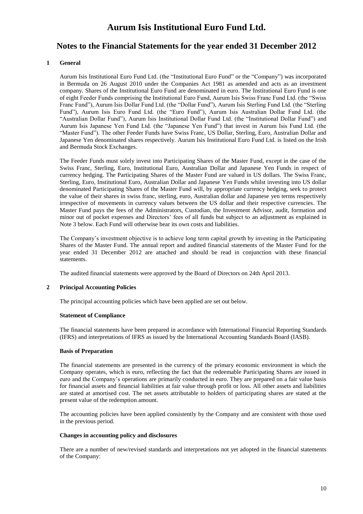### **Notes to the Financial Statements for the year ended 31 December 2012**

#### **1 General**

Aurum Isis Institutional Euro Fund Ltd. (the "Institutional Euro Fund" or the "Company") was incorporated in Bermuda on 26 August 2010 under the Companies Act 1981 as amended and acts as an investment company. Shares of the Institutional Euro Fund are denominated in euro. The Institutional Euro Fund is one of eight Feeder Funds comprising the Institutional Euro Fund, Aurum Isis Swiss Franc Fund Ltd. (the "Swiss Franc Fund"), Aurum Isis Dollar Fund Ltd. (the "Dollar Fund"), Aurum Isis Sterling Fund Ltd. (the "Sterling Fund"), Aurum Isis Euro Fund Ltd. (the "Euro Fund"), Aurum Isis Australian Dollar Fund Ltd. (the "Australian Dollar Fund"), Aurum Isis Institutional Dollar Fund Ltd. (the "Institutional Dollar Fund") and Aurum Isis Japanese Yen Fund Ltd. (the "Japanese Yen Fund") that invest in Aurum Isis Fund Ltd. (the "Master Fund"). The other Feeder Funds have Swiss Franc, US Dollar, Sterling, Euro, Australian Dollar and Japanese Yen denominated shares respectively. Aurum Isis Institutional Euro Fund Ltd. is listed on the Irish and Bermuda Stock Exchanges.

The Feeder Funds must solely invest into Participating Shares of the Master Fund, except in the case of the Swiss Franc, Sterling, Euro, Institutional Euro, Australian Dollar and Japanese Yen Funds in respect of currency hedging. The Participating Shares of the Master Fund are valued in US dollars. The Swiss Franc, Sterling, Euro, Institutional Euro, Australian Dollar and Japanese Yen Funds whilst investing into US dollar denominated Participating Shares of the Master Fund will, by appropriate currency hedging, seek to protect the value of their shares in swiss franc, sterling, euro, Australian dollar and Japanese yen terms respectively irrespective of movements in currency values between the US dollar and their respective currencies. The Master Fund pays the fees of the Administrators, Custodian, the Investment Advisor, audit, formation and minor out of pocket expenses and Directors' fees of all funds but subject to an adjustment as explained in Note 3 below. Each Fund will otherwise bear its own costs and liabilities.

The Company's investment objective is to achieve long term capital growth by investing in the Participating Shares of the Master Fund. The annual report and audited financial statements of the Master Fund for the year ended 31 December 2012 are attached and should be read in conjunction with these financial statements.

The audited financial statements were approved by the Board of Directors on 24th April 2013.

#### **2 Principal Accounting Policies**

The principal accounting policies which have been applied are set out below.

#### **Statement of Compliance**

The financial statements have been prepared in accordance with International Financial Reporting Standards (IFRS) and interpretations of IFRS as issued by the International Accounting Standards Board (IASB).

#### **Basis of Preparation**

The financial statements are presented in the currency of the primary economic environment in which the Company operates, which is euro, reflecting the fact that the redeemable Participating Shares are issued in euro and the Company's operations are primarily conducted in euro. They are prepared on a fair value basis for financial assets and financial liabilities at fair value through profit or loss. All other assets and liabilities are stated at amortised cost. The net assets attributable to holders of participating shares are stated at the present value of the redemption amount.

The accounting policies have been applied consistently by the Company and are consistent with those used in the previous period.

#### **Changes in accounting policy and disclosures**

There are a number of new/revised standards and interpretations not yet adopted in the financial statements of the Company: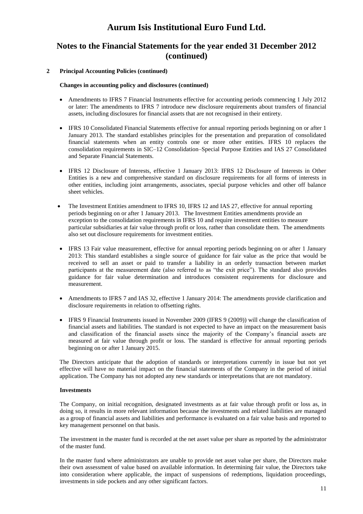### **Notes to the Financial Statements for the year ended 31 December 2012 (continued)**

#### **2 Principal Accounting Policies (continued)**

#### **Changes in accounting policy and disclosures (continued)**

- Amendments to IFRS 7 Financial Instruments effective for accounting periods commencing 1 July 2012 or later: The amendments to IFRS 7 introduce new disclosure requirements about transfers of financial assets, including disclosures for financial assets that are not recognised in their entirety.
- IFRS 10 Consolidated Financial Statements effective for annual reporting periods beginning on or after 1 January 2013. The standard establishes principles for the presentation and preparation of consolidated financial statements when an entity controls one or more other entities. IFRS 10 replaces the consolidation requirements in SIC–12 Consolidation–Special Purpose Entities and IAS 27 Consolidated and Separate Financial Statements.
- IFRS 12 Disclosure of Interests, effective 1 January 2013: IFRS 12 Disclosure of Interests in Other Entities is a new and comprehensive standard on disclosure requirements for all forms of interests in other entities, including joint arrangements, associates, special purpose vehicles and other off balance sheet vehicles.
- The Investment Entities amendment to IFRS 10, IFRS 12 and IAS 27, effective for annual reporting periods beginning on or after 1 January 2013. The Investment Entities amendments provide an exception to the consolidation requirements in IFRS 10 and require investment entities to measure particular subsidiaries at fair value through profit or loss, rather than consolidate them. The amendments also set out disclosure requirements for investment entities.
- IFRS 13 Fair value measurement, effective for annual reporting periods beginning on or after 1 January 2013: This standard establishes a single source of guidance for fair value as the price that would be received to sell an asset or paid to transfer a liability in an orderly transaction between market participants at the measurement date (also referred to as "the exit price"). The standard also provides guidance for fair value determination and introduces consistent requirements for disclosure and measurement.
- Amendments to IFRS 7 and IAS 32, effective 1 January 2014: The amendments provide clarification and disclosure requirements in relation to offsetting rights.
- IFRS 9 Financial Instruments issued in November 2009 (IFRS 9 (2009)) will change the classification of financial assets and liabilities. The standard is not expected to have an impact on the measurement basis and classification of the financial assets since the majority of the Company's financial assets are measured at fair value through profit or loss. The standard is effective for annual reporting periods beginning on or after 1 January 2015.

The Directors anticipate that the adoption of standards or interpretations currently in issue but not yet effective will have no material impact on the financial statements of the Company in the period of initial application. The Company has not adopted any new standards or interpretations that are not mandatory.

#### **Investments**

The Company, on initial recognition, designated investments as at fair value through profit or loss as, in doing so, it results in more relevant information because the investments and related liabilities are managed as a group of financial assets and liabilities and performance is evaluated on a fair value basis and reported to key management personnel on that basis.

The investment in the master fund is recorded at the net asset value per share as reported by the administrator of the master fund.

In the master fund where administrators are unable to provide net asset value per share, the Directors make their own assessment of value based on available information. In determining fair value, the Directors take into consideration where applicable, the impact of suspensions of redemptions, liquidation proceedings, investments in side pockets and any other significant factors.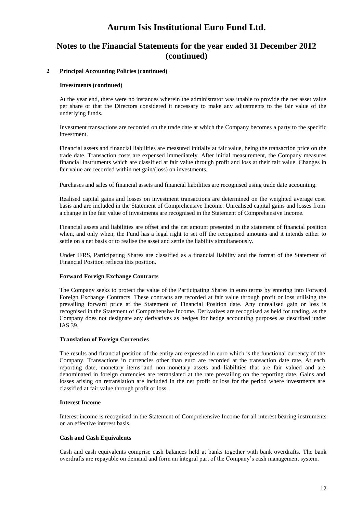### **Notes to the Financial Statements for the year ended 31 December 2012 (continued)**

#### **2 Principal Accounting Policies (continued)**

#### **Investments (continued)**

At the year end, there were no instances wherein the administrator was unable to provide the net asset value per share or that the Directors considered it necessary to make any adjustments to the fair value of the underlying funds.

Investment transactions are recorded on the trade date at which the Company becomes a party to the specific investment.

Financial assets and financial liabilities are measured initially at fair value, being the transaction price on the trade date. Transaction costs are expensed immediately. After initial measurement, the Company measures financial instruments which are classified at fair value through profit and loss at their fair value. Changes in fair value are recorded within net gain/(loss) on investments.

Purchases and sales of financial assets and financial liabilities are recognised using trade date accounting.

Realised capital gains and losses on investment transactions are determined on the weighted average cost basis and are included in the Statement of Comprehensive Income. Unrealised capital gains and losses from a change in the fair value of investments are recognised in the Statement of Comprehensive Income.

Financial assets and liabilities are offset and the net amount presented in the statement of financial position when, and only when, the Fund has a legal right to set off the recognised amounts and it intends either to settle on a net basis or to realise the asset and settle the liability simultaneously.

Under IFRS, Participating Shares are classified as a financial liability and the format of the Statement of Financial Position reflects this position.

#### **Forward Foreign Exchange Contracts**

The Company seeks to protect the value of the Participating Shares in euro terms by entering into Forward Foreign Exchange Contracts. These contracts are recorded at fair value through profit or loss utilising the prevailing forward price at the Statement of Financial Position date. Any unrealised gain or loss is recognised in the Statement of Comprehensive Income. Derivatives are recognised as held for trading, as the Company does not designate any derivatives as hedges for hedge accounting purposes as described under IAS 39.

#### **Translation of Foreign Currencies**

The results and financial position of the entity are expressed in euro which is the functional currency of the Company. Transactions in currencies other than euro are recorded at the transaction date rate. At each reporting date, monetary items and non-monetary assets and liabilities that are fair valued and are denominated in foreign currencies are retranslated at the rate prevailing on the reporting date. Gains and losses arising on retranslation are included in the net profit or loss for the period where investments are classified at fair value through profit or loss.

#### **Interest Income**

Interest income is recognised in the Statement of Comprehensive Income for all interest bearing instruments on an effective interest basis.

#### **Cash and Cash Equivalents**

Cash and cash equivalents comprise cash balances held at banks together with bank overdrafts. The bank overdrafts are repayable on demand and form an integral part of the Company's cash management system.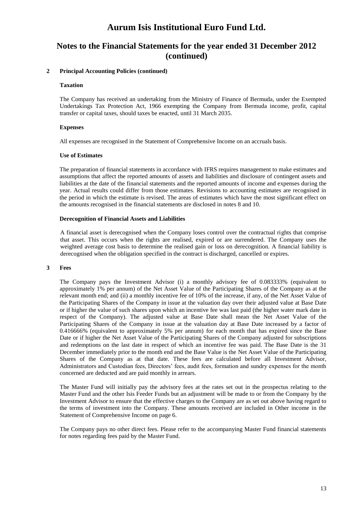### **Notes to the Financial Statements for the year ended 31 December 2012 (continued)**

#### **2 Principal Accounting Policies (continued)**

#### **Taxation**

The Company has received an undertaking from the Ministry of Finance of Bermuda, under the Exempted Undertakings Tax Protection Act, 1966 exempting the Company from Bermuda income, profit, capital transfer or capital taxes, should taxes be enacted, until 31 March 2035.

#### **Expenses**

All expenses are recognised in the Statement of Comprehensive Income on an accruals basis.

#### **Use of Estimates**

The preparation of financial statements in accordance with IFRS requires management to make estimates and assumptions that affect the reported amounts of assets and liabilities and disclosure of contingent assets and liabilities at the date of the financial statements and the reported amounts of income and expenses during the year. Actual results could differ from those estimates. Revisions to accounting estimates are recognised in the period in which the estimate is revised. The areas of estimates which have the most significant effect on the amounts recognised in the financial statements are disclosed in notes 8 and 10.

#### **Derecognition of Financial Assets and Liabilities**

A financial asset is derecognised when the Company loses control over the contractual rights that comprise that asset. This occurs when the rights are realised, expired or are surrendered. The Company uses the weighted average cost basis to determine the realised gain or loss on derecognition. A financial liability is derecognised when the obligation specified in the contract is discharged, cancelled or expires.

#### **3 Fees**

The Company pays the Investment Advisor (i) a monthly advisory fee of 0.083333% (equivalent to approximately 1% per annum) of the Net Asset Value of the Participating Shares of the Company as at the relevant month end; and (ii) a monthly incentive fee of 10% of the increase, if any, of the Net Asset Value of the Participating Shares of the Company in issue at the valuation day over their adjusted value at Base Date or if higher the value of such shares upon which an incentive fee was last paid (the higher water mark date in respect of the Company). The adjusted value at Base Date shall mean the Net Asset Value of the Participating Shares of the Company in issue at the valuation day at Base Date increased by a factor of 0.416666% (equivalent to approximately 5% per annum) for each month that has expired since the Base Date or if higher the Net Asset Value of the Participating Shares of the Company adjusted for subscriptions and redemptions on the last date in respect of which an incentive fee was paid. The Base Date is the 31 December immediately prior to the month end and the Base Value is the Net Asset Value of the Participating Shares of the Company as at that date. These fees are calculated before all Investment Advisor, Administrators and Custodian fees, Directors' fees, audit fees, formation and sundry expenses for the month concerned are deducted and are paid monthly in arrears.

The Master Fund will initially pay the advisory fees at the rates set out in the prospectus relating to the Master Fund and the other Isis Feeder Funds but an adjustment will be made to or from the Company by the Investment Advisor to ensure that the effective charges to the Company are as set out above having regard to the terms of investment into the Company. These amounts received are included in Other income in the Statement of Comprehensive Income on page 6.

The Company pays no other direct fees. Please refer to the accompanying Master Fund financial statements for notes regarding fees paid by the Master Fund.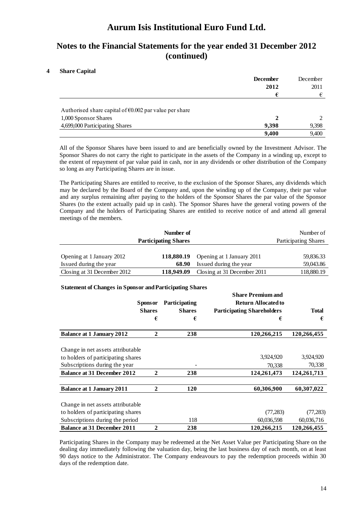### **Notes to the Financial Statements for the year ended 31 December 2012 (continued)**

#### **4 Share Capital**

|                                                                  | <b>December</b> | December |
|------------------------------------------------------------------|-----------------|----------|
|                                                                  | 2012            | 2011     |
|                                                                  | €               | €        |
|                                                                  |                 |          |
| Authorised share capital of $\epsilon 0.002$ par value per share |                 |          |
| 1,000 Sponsor Shares                                             |                 |          |
| 4,699,000 Participating Shares                                   | 9,398           | 9,398    |
|                                                                  | 9,400           | 9,400    |

All of the Sponsor Shares have been issued to and are beneficially owned by the Investment Advisor. The Sponsor Shares do not carry the right to participate in the assets of the Company in a winding up, except to the extent of repayment of par value paid in cash, nor in any dividends or other distribution of the Company so long as any Participating Shares are in issue.

The Participating Shares are entitled to receive, to the exclusion of the Sponsor Shares, any dividends which may be declared by the Board of the Company and, upon the winding up of the Company, their par value and any surplus remaining after paying to the holders of the Sponsor Shares the par value of the Sponsor Shares (to the extent actually paid up in cash). The Sponsor Shares have the general voting powers of the Company and the holders of Participating Shares are entitled to receive notice of and attend all general meetings of the members.

|                                                                 |                | Number of                   |                                   | Number of            |
|-----------------------------------------------------------------|----------------|-----------------------------|-----------------------------------|----------------------|
|                                                                 |                | <b>Participating Shares</b> |                                   | Participating Shares |
|                                                                 |                |                             |                                   |                      |
| Opening at 1 January 2012                                       |                | 118,880.19                  | Opening at 1 January 2011         | 59,836.33            |
| Issued during the year                                          |                | 68.90                       | Issued during the year            | 59,043.86            |
| Closing at 31 December 2012                                     |                | 118,949.09                  | Closing at 31 December 2011       | 118,880.19           |
|                                                                 |                |                             |                                   |                      |
| <b>Statement of Changes in Sponsor and Participating Shares</b> |                |                             |                                   |                      |
|                                                                 |                |                             | <b>Share Premium and</b>          |                      |
|                                                                 | <b>Sponsor</b> | Participating               | <b>Return Allocated to</b>        |                      |
|                                                                 | <b>Shares</b>  | <b>Shares</b>               | <b>Participating Shareholders</b> | <b>Total</b>         |
|                                                                 | €              |                             | €<br>€                            | €                    |
| <b>Balance at 1 January 2012</b>                                | $\overline{2}$ | 238                         | 120,266,215                       | 120,266,455          |
| Change in net assets attributable                               |                |                             |                                   |                      |
| to holders of participating shares                              |                |                             | 3,924,920                         | 3,924,920            |
| Subscriptions during the year                                   |                |                             | 70,338                            | 70,338               |
| <b>Balance at 31 December 2012</b>                              | $\mathbf{2}$   | 238                         | 124,261,473                       | 124,261,713          |
| <b>Balance at 1 January 2011</b>                                | $\mathbf{2}$   | 120                         | 60,306,900                        | 60,307,022           |
|                                                                 |                |                             |                                   |                      |
| Change in net assets attributable                               |                |                             |                                   |                      |
| to holders of participating shares                              |                |                             | (77, 283)                         | (77, 283)            |
| Subscriptions during the period                                 |                | 118                         | 60,036,598                        | 60,036,716           |
| <b>Balance at 31 December 2011</b>                              | $\overline{2}$ | 238                         | 120,266,215                       | 120,266,455          |

Participating Shares in the Company may be redeemed at the Net Asset Value per Participating Share on the dealing day immediately following the valuation day, being the last business day of each month, on at least 90 days notice to the Administrator. The Company endeavours to pay the redemption proceeds within 30 days of the redemption date.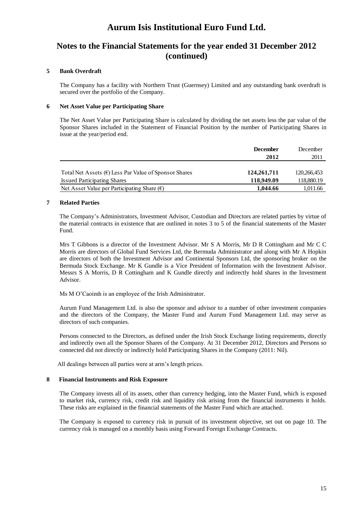### **Notes to the Financial Statements for the year ended 31 December 2012 (continued)**

#### **5 Bank Overdraft**

The Company has a facility with Northern Trust (Guernsey) Limited and any outstanding bank overdraft is secured over the portfolio of the Company.

### **6 Net Asset Value per Participating Share**

The Net Asset Value per Participating Share is calculated by dividing the net assets less the par value of the Sponsor Shares included in the Statement of Financial Position by the number of Participating Shares in issue at the year/period end.

|                                                                  | <b>December</b> | December    |
|------------------------------------------------------------------|-----------------|-------------|
|                                                                  | 2012            | 2011        |
|                                                                  |                 |             |
| Total Net Assets ( $\epsilon$ ) Less Par Value of Sponsor Shares | 124,261,711     | 120,266,453 |
| <b>Issued Participating Shares</b>                               | 118,949.09      | 118,880.19  |
| Net Asset Value per Participating Share $(\epsilon)$             | 1.044.66        | 1,011.66    |

#### **7 Related Parties**

The Company's Administrators, Investment Advisor, Custodian and Directors are related parties by virtue of the material contracts in existence that are outlined in notes 3 to 5 of the financial statements of the Master Fund.

Mrs T Gibbons is a director of the Investment Advisor. Mr S A Morris, Mr D R Cottingham and Mr C C Morris are directors of Global Fund Services Ltd, the Bermuda Administrator and along with Mr A Hopkin are directors of both the Investment Advisor and Continental Sponsors Ltd, the sponsoring broker on the Bermuda Stock Exchange. Mr K Gundle is a Vice President of Information with the Investment Advisor. Messrs S A Morris, D R Cottingham and K Gundle directly and indirectly hold shares in the Investment Advisor.

Ms M O'Caoimh is an employee of the Irish Administrator.

Aurum Fund Management Ltd. is also the sponsor and advisor to a number of other investment companies and the directors of the Company, the Master Fund and Aurum Fund Management Ltd. may serve as directors of such companies.

Persons connected to the Directors, as defined under the Irish Stock Exchange listing requirements, directly and indirectly own all the Sponsor Shares of the Company. At 31 December 2012, Directors and Persons so connected did not directly or indirectly hold Participating Shares in the Company (2011: Nil).

All dealings between all parties were at arm's length prices.

#### **8 Financial Instruments and Risk Exposure**

The Company invests all of its assets, other than currency hedging, into the Master Fund, which is exposed to market risk, currency risk, credit risk and liquidity risk arising from the financial instruments it holds. These risks are explained in the financial statements of the Master Fund which are attached.

The Company is exposed to currency risk in pursuit of its investment objective, set out on page 10. The currency risk is managed on a monthly basis using Forward Foreign Exchange Contracts.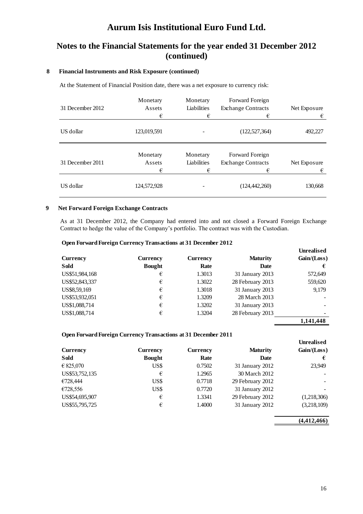## **Notes to the Financial Statements for the year ended 31 December 2012 (continued)**

### **8 Financial Instruments and Risk Exposure (continued)**

At the Statement of Financial Position date, there was a net exposure to currency risk:

| 31 December 2012 | Monetary<br>Assets<br>€ | Monetary<br>Liabilities<br>€ | Forward Foreign<br><b>Exchange Contracts</b><br>€ | Net Exposure<br>€ |
|------------------|-------------------------|------------------------------|---------------------------------------------------|-------------------|
| US dollar        | 123,019,591             |                              | (122, 527, 364)                                   | 492,227           |
| 31 December 2011 | Monetary<br>Assets<br>€ | Monetary<br>Liabilities<br>€ | Forward Foreign<br><b>Exchange Contracts</b><br>€ | Net Exposure<br>€ |
| US dollar        | 124,572,928             |                              | (124, 442, 260)                                   | 130,668           |

#### **9 Net Forward Foreign Exchange Contracts**

As at 31 December 2012, the Company had entered into and not closed a Forward Foreign Exchange Contract to hedge the value of the Company's portfolio. The contract was with the Custodian.

#### **Open Forward Foreign Currency Transactions at 31 December 2012**

|                 |                 |          |                  | <b>Unrealised</b> |
|-----------------|-----------------|----------|------------------|-------------------|
| <b>Currency</b> | <b>Currency</b> | Currency | <b>Maturity</b>  | Gain / (Loss)     |
| Sold            | <b>Bought</b>   | Rate     | <b>Date</b>      | €                 |
| US\$51,984,168  | €               | 1.3013   | 31 January 2013  | 572,649           |
| US\$52,843,337  | €               | 1.3022   | 28 February 2013 | 559,620           |
| US\$8,59,169    | €               | 1.3018   | 31 January 2013  | 9,179             |
| US\$53,932,051  | €               | 1.3209   | 28 March 2013    |                   |
| US\$1,088,714   | €               | 1.3202   | 31 January 2013  |                   |
| US\$1,088,714   | €               | 1.3204   | 28 February 2013 |                   |
|                 |                 |          |                  | 1,141,448         |

#### **Open Forward Foreign Currency Transactions at 31 December 2011**

|                 |               |                 |                  | <b>Unrealised</b><br>Gain / (Loss) |  |
|-----------------|---------------|-----------------|------------------|------------------------------------|--|
| <b>Currency</b> | Currency      | <b>Currency</b> | <b>Maturity</b>  |                                    |  |
| Sold            | <b>Bought</b> | Rate            | <b>Date</b>      | €                                  |  |
| € 825,070       | US\$          | 0.7502          | 31 January 2012  | 23,949                             |  |
| US\$53,752,135  | €             | 1.2965          | 30 March 2012    |                                    |  |
| €728,444        | US\$          | 0.7718          | 29 February 2012 |                                    |  |
| €728,556        | US\$          | 0.7720          | 31 January 2012  |                                    |  |
| US\$54,695,907  | €             | 1.3341          | 29 February 2012 | (1,218,306)                        |  |
| US\$55,795,725  | €             | 1.4000          | 31 January 2012  | (3,218,109)                        |  |

 **(4,412,466)**